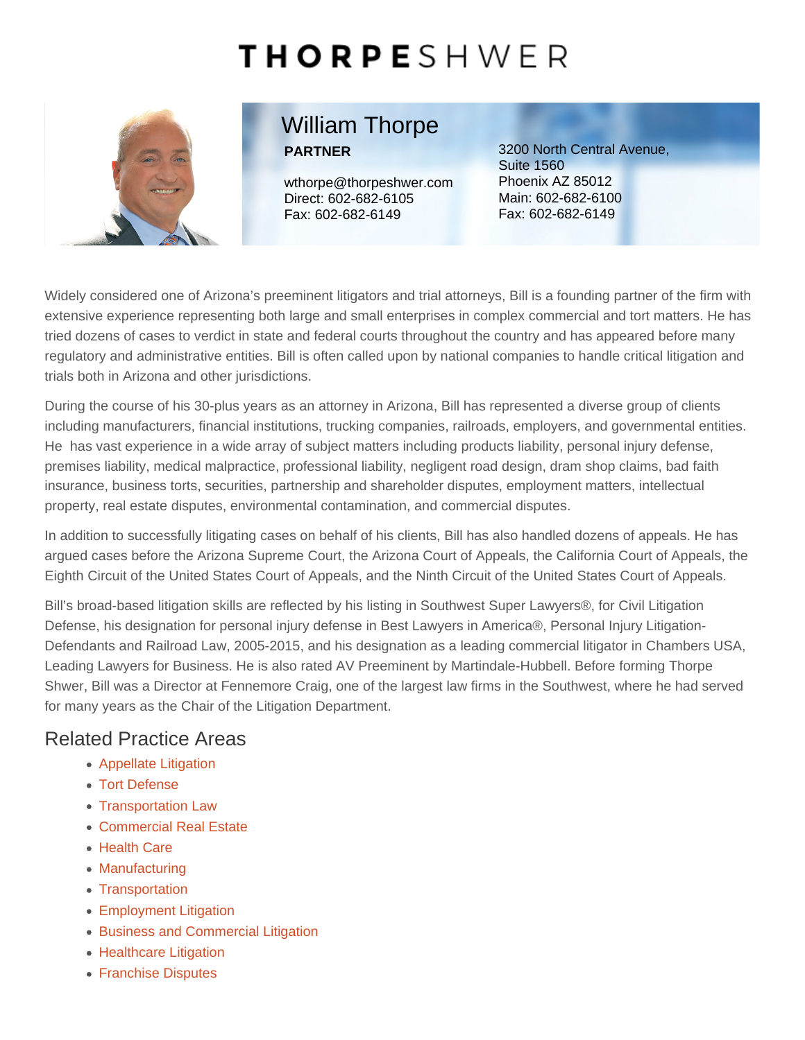# William Thorpe PARTNER

wthorpe@thorpeshwer.com Direct: [602-682-6105](tel:+1-602-682-6105) Fax: 602-682-6149

3200 North Central Avenue, Suite 1560 Phoenix AZ 85012 Main: [602-682-6100](tel:+1-602-682-6100) Fax: 602-682-6149

Widely considered one of Arizona's preeminent litigators and trial attorneys, Bill is a founding partner of the firm with extensive experience representing both large and small enterprises in complex commercial and tort matters. He has tried dozens of cases to verdict in state and federal courts throughout the country and has appeared before many regulatory and administrative entities. Bill is often called upon by national companies to handle critical litigation and trials both in Arizona and other jurisdictions.

During the course of his 30-plus years as an attorney in Arizona, Bill has represented a diverse group of clients including manufacturers, financial institutions, trucking companies, railroads, employers, and governmental entities. He has vast experience in a wide array of subject matters including products liability, personal injury defense, premises liability, medical malpractice, professional liability, negligent road design, dram shop claims, bad faith insurance, business torts, securities, partnership and shareholder disputes, employment matters, intellectual property, real estate disputes, environmental contamination, and commercial disputes.

In addition to successfully litigating cases on behalf of his clients, Bill has also handled dozens of appeals. He has argued cases before the Arizona Supreme Court, the Arizona Court of Appeals, the California Court of Appeals, the Eighth Circuit of the United States Court of Appeals, and the Ninth Circuit of the United States Court of Appeals.

Bill's broad-based litigation skills are reflected by his listing in Southwest Super Lawyers®, for Civil Litigation Defense, his designation for personal injury defense in Best Lawyers in America®, Personal Injury Litigation-Defendants and Railroad Law, 2005-2015, and his designation as a leading commercial litigator in Chambers USA, Leading Lawyers for Business. He is also rated AV Preeminent by Martindale-Hubbell. Before forming Thorpe Shwer, Bill was a Director at Fennemore Craig, one of the largest law firms in the Southwest, where he had served for many years as the Chair of the Litigation Department.

## Related Practice Areas

- [Appellate Litigation](https://www.thorpeshwer.com/what-we-do/appellate-litigation/)
- [Tort Defense](https://www.thorpeshwer.com/what-we-do/tort-defense/)
- [Transportation Law](https://www.thorpeshwer.com/what-we-do/transportation-law/)
- [Commercial Real Estate](https://www.thorpeshwer.com/what-we-do/industries/commercial-real-estate/)
- [Health Care](https://www.thorpeshwer.com/what-we-do/industries/health-care/)
- [Manufacturing](https://www.thorpeshwer.com/what-we-do/industries/manufacturing/)
- [Transportation](https://www.thorpeshwer.com/what-we-do/industries/transportation/)
- [Employment Litigation](https://www.thorpeshwer.com/what-we-do/employment-litigation/)
- [Business and Commercial Litigation](https://www.thorpeshwer.com/what-we-do/business-and-commercial-litigation/)
- [Healthcare Litigation](https://www.thorpeshwer.com/what-we-do/business-and-commercial-litigation/healthcare-litigation/)
- [Franchise Disputes](https://www.thorpeshwer.com/what-we-do/business-and-commercial-litigation/franchise-disputes/)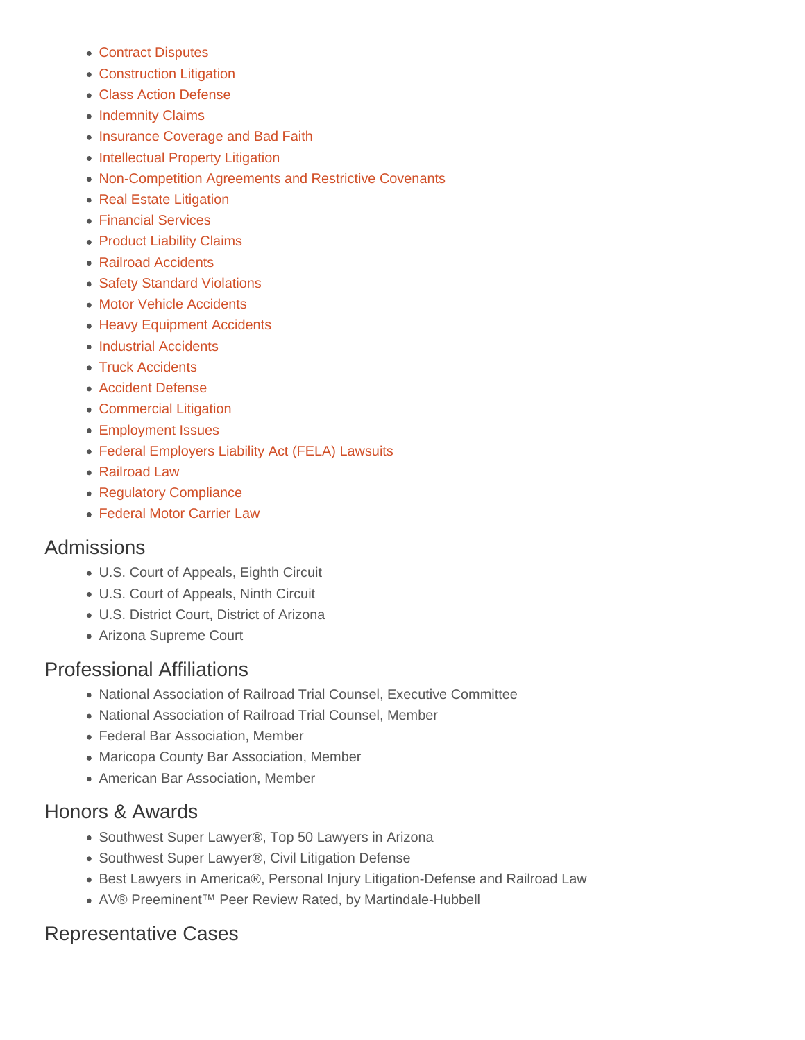- [Contract Disputes](https://www.thorpeshwer.com/what-we-do/business-and-commercial-litigation/contract-disputes/)
- [Construction Litigation](https://www.thorpeshwer.com/what-we-do/business-and-commercial-litigation/construction-litigation/)
- [Class Action Defense](https://www.thorpeshwer.com/what-we-do/business-and-commercial-litigation/class-action-defense/)
- [Indemnity Claims](https://www.thorpeshwer.com/what-we-do/business-and-commercial-litigation/indemnity-claims/)
- [Insurance Coverage and Bad Faith](https://www.thorpeshwer.com/what-we-do/business-and-commercial-litigation/insurance-coverage-and-bad-faith/)
- [Intellectual Property Litigation](https://www.thorpeshwer.com/what-we-do/business-and-commercial-litigation/intellectual-property-litigation/)
- [Non-Competition Agreements and Restrictive Covenants](https://www.thorpeshwer.com/what-we-do/business-and-commercial-litigation/non-competition-agreements-and-restrictive-covenants/)
- [Real Estate Litigation](https://www.thorpeshwer.com/what-we-do/business-and-commercial-litigation/real-estate-litigation/)
- [Financial Services](https://www.thorpeshwer.com/what-we-do/financial-services/)
- [Product Liability Claims](https://www.thorpeshwer.com/what-we-do/product-liability-claims/)
- [Railroad Accidents](https://www.thorpeshwer.com/what-we-do/tort-defense/railroad-accidents/)
- [Safety Standard Violations](https://www.thorpeshwer.com/what-we-do/tort-defense/safety-standard-violations/)
- [Motor Vehicle Accidents](https://www.thorpeshwer.com/what-we-do/tort-defense/motor-vehicle-accidents/)
- [Heavy Equipment Accidents](https://www.thorpeshwer.com/what-we-do/tort-defense/heavy-equipment-accidents/)
- [Industrial Accidents](https://www.thorpeshwer.com/what-we-do/tort-defense/industrial-accidents/)
- [Truck Accidents](https://www.thorpeshwer.com/what-we-do/tort-defense/truck-accidents/)
- [Accident Defense](https://www.thorpeshwer.com/what-we-do/transportation-law/accident-defense/)
- [Commercial Litigation](https://www.thorpeshwer.com/what-we-do/transportation-law/commercial-litigation/)
- [Employment Issues](https://www.thorpeshwer.com/what-we-do/transportation-law/employment-issues/)
- [Federal Employers Liability Act \(FELA\) Lawsuits](https://www.thorpeshwer.com/what-we-do/transportation-law/federal-employers-liability-act-fela-lawsuits/)
- [Railroad Law](https://www.thorpeshwer.com/what-we-do/transportation-law/railroad-law/)
- [Regulatory Compliance](https://www.thorpeshwer.com/what-we-do/transportation-law/regulatory-compliance/)
- [Federal Motor Carrier Law](https://www.thorpeshwer.com/what-we-do/transportation-law/federal-motor-carrier-law/)

#### Admissions

- U.S. Court of Appeals, Eighth Circuit
- U.S. Court of Appeals, Ninth Circuit
- U.S. District Court, District of Arizona
- Arizona Supreme Court

## Professional Affiliations

- National Association of Railroad Trial Counsel, Executive Committee
- National Association of Railroad Trial Counsel, Member
- Federal Bar Association, Member
- Maricopa County Bar Association, Member
- American Bar Association, Member

#### Honors & Awards

- Southwest Super Lawyer®, Top 50 Lawyers in Arizona
- Southwest Super Lawyer®, Civil Litigation Defense
- Best Lawyers in America®, Personal Injury Litigation-Defense and Railroad Law
- AV® Preeminent™ Peer Review Rated, by Martindale-Hubbell

## Representative Cases